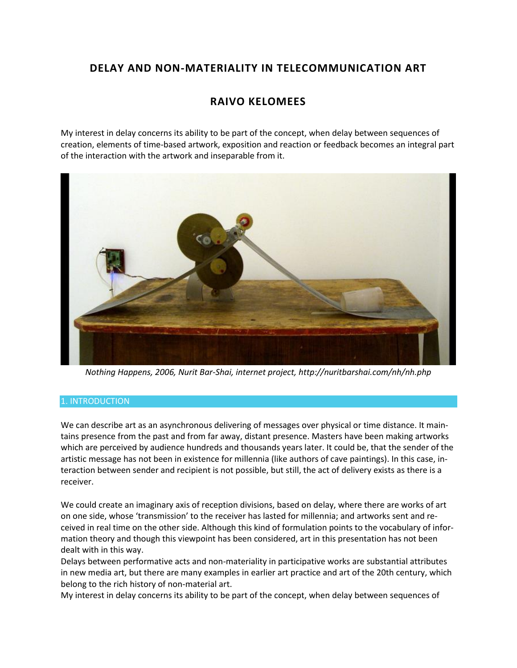# **DELAY AND NON-MATERIALITY IN TELECOMMUNICATION ART**

# **RAIVO KELOMEES**

My interest in delay concerns its ability to be part of the concept, when delay between sequences of creation, elements of time-based artwork, exposition and reaction or feedback becomes an integral part of the interaction with the artwork and inseparable from it.



*Nothing Happens, 2006, Nurit Bar-Shai, internet project, http://nuritbarshai.com/nh/nh.php*

## 1. INTRODUCTION

We can describe art as an asynchronous delivering of messages over physical or time distance. It maintains presence from the past and from far away, distant presence. Masters have been making artworks which are perceived by audience hundreds and thousands years later. It could be, that the sender of the artistic message has not been in existence for millennia (like authors of cave paintings). In this case, interaction between sender and recipient is not possible, but still, the act of delivery exists as there is a receiver.

We could create an imaginary axis of reception divisions, based on delay, where there are works of art on one side, whose 'transmission' to the receiver has lasted for millennia; and artworks sent and received in real time on the other side. Although this kind of formulation points to the vocabulary of information theory and though this viewpoint has been considered, art in this presentation has not been dealt with in this way.

Delays between performative acts and non-materiality in participative works are substantial attributes in new media art, but there are many examples in earlier art practice and art of the 20th century, which belong to the rich history of non-material art.

My interest in delay concerns its ability to be part of the concept, when delay between sequences of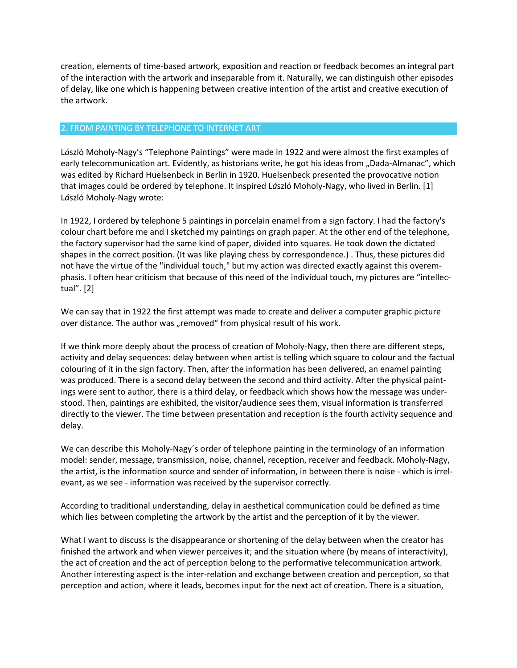creation, elements of time-based artwork, exposition and reaction or feedback becomes an integral part of the interaction with the artwork and inseparable from it. Naturally, we can distinguish other episodes of delay, like one which is happening between creative intention of the artist and creative execution of the artwork.

### 2. FROM PAINTING BY TELEPHONE TO INTERNET ART

L*á*szló Moholy-Nagy's "Telephone Paintings" were made in 1922 and were almost the first examples of early telecommunication art. Evidently, as historians write, he got his ideas from "Dada-Almanac", which was edited by Richard Huelsenbeck in Berlin in 1920. Huelsenbeck presented the provocative notion that images could be ordered by telephone. It inspired L*á*szló Moholy-Nagy, who lived in Berlin. [1] L*á*szló Moholy-Nagy wrote:

In 1922, I ordered by telephone 5 paintings in porcelain enamel from a sign factory. I had the factory's colour chart before me and I sketched my paintings on graph paper. At the other end of the telephone, the factory supervisor had the same kind of paper, divided into squares. He took down the dictated shapes in the correct position. (It was like playing chess by correspondence.) . Thus, these pictures did not have the virtue of the "individual touch," but my action was directed exactly against this overemphasis. I often hear criticism that because of this need of the individual touch, my pictures are "intellectual". [2]

We can say that in 1922 the first attempt was made to create and deliver a computer graphic picture over distance. The author was "removed" from physical result of his work.

If we think more deeply about the process of creation of Moholy-Nagy, then there are different steps, activity and delay sequences: delay between when artist is telling which square to colour and the factual colouring of it in the sign factory. Then, after the information has been delivered, an enamel painting was produced. There is a second delay between the second and third activity. After the physical paintings were sent to author, there is a third delay, or feedback which shows how the message was understood. Then, paintings are exhibited, the visitor/audience sees them, visual information is transferred directly to the viewer. The time between presentation and reception is the fourth activity sequence and delay.

We can describe this Moholy-Nagy´s order of telephone painting in the terminology of an information model: sender, message, transmission, noise, channel, reception, receiver and feedback. Moholy-Nagy, the artist, is the information source and sender of information, in between there is noise - which is irrelevant, as we see - information was received by the supervisor correctly.

According to traditional understanding, delay in aesthetical communication could be defined as time which lies between completing the artwork by the artist and the perception of it by the viewer.

What I want to discuss is the disappearance or shortening of the delay between when the creator has finished the artwork and when viewer perceives it; and the situation where (by means of interactivity), the act of creation and the act of perception belong to the performative telecommunication artwork. Another interesting aspect is the inter-relation and exchange between creation and perception, so that perception and action, where it leads, becomes input for the next act of creation. There is a situation,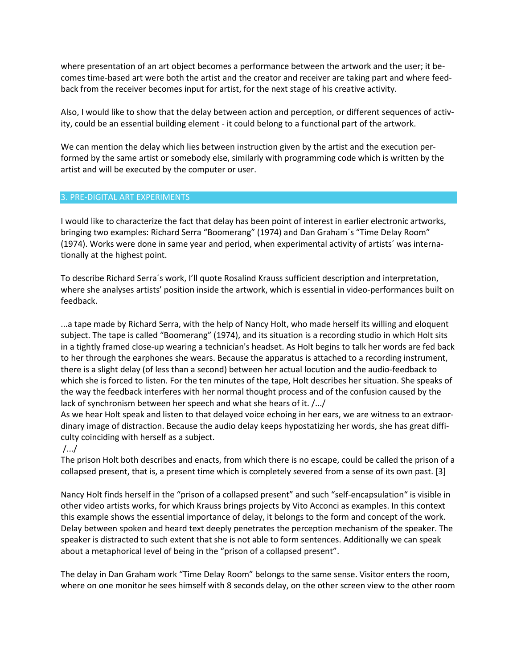where presentation of an art object becomes a performance between the artwork and the user; it becomes time-based art were both the artist and the creator and receiver are taking part and where feedback from the receiver becomes input for artist, for the next stage of his creative activity.

Also, I would like to show that the delay between action and perception, or different sequences of activity, could be an essential building element - it could belong to a functional part of the artwork.

We can mention the delay which lies between instruction given by the artist and the execution performed by the same artist or somebody else, similarly with programming code which is written by the artist and will be executed by the computer or user.

#### 3. PRE-DIGITAL ART EXPERIMENTS

I would like to characterize the fact that delay has been point of interest in earlier electronic artworks, bringing two examples: Richard Serra "Boomerang" (1974) and Dan Graham´s "Time Delay Room" (1974). Works were done in same year and period, when experimental activity of artists´ was internationally at the highest point.

To describe Richard Serra´s work, I'll quote Rosalind Krauss sufficient description and interpretation, where she analyses artists' position inside the artwork, which is essential in video-performances built on feedback.

...a tape made by Richard Serra, with the help of Nancy Holt, who made herself its willing and eloquent subject. The tape is called "Boomerang" (1974), and its situation is a recording studio in which Holt sits in a tightly framed close-up wearing a technician's headset. As Holt begins to talk her words are fed back to her through the earphones she wears. Because the apparatus is attached to a recording instrument, there is a slight delay (of less than a second) between her actual locution and the audio-feedback to which she is forced to listen. For the ten minutes of the tape, Holt describes her situation. She speaks of the way the feedback interferes with her normal thought process and of the confusion caused by the lack of synchronism between her speech and what she hears of it. /.../

As we hear Holt speak and listen to that delayed voice echoing in her ears, we are witness to an extraordinary image of distraction. Because the audio delay keeps hypostatizing her words, she has great difficulty coinciding with herself as a subject.

## /.../

The prison Holt both describes and enacts, from which there is no escape, could be called the prison of a collapsed present, that is, a present time which is completely severed from a sense of its own past. [3]

Nancy Holt finds herself in the "prison of a collapsed present" and such "self-encapsulation" is visible in other video artists works, for which Krauss brings projects by Vito Acconci as examples. In this context this example shows the essential importance of delay, it belongs to the form and concept of the work. Delay between spoken and heard text deeply penetrates the perception mechanism of the speaker. The speaker is distracted to such extent that she is not able to form sentences. Additionally we can speak about a metaphorical level of being in the "prison of a collapsed present".

The delay in Dan Graham work "Time Delay Room" belongs to the same sense. Visitor enters the room, where on one monitor he sees himself with 8 seconds delay, on the other screen view to the other room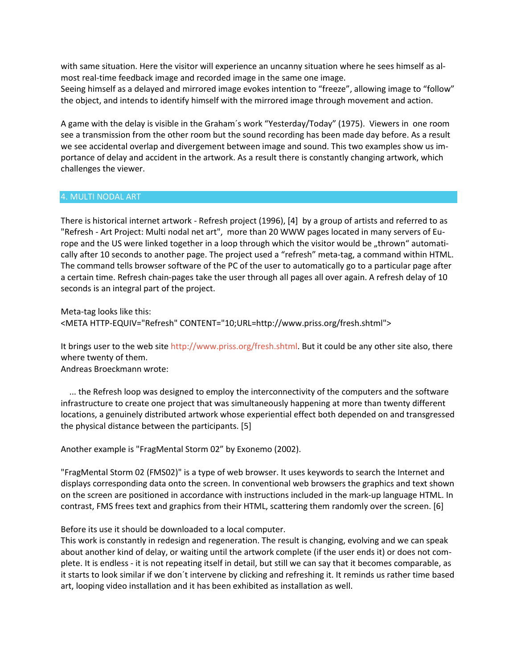with same situation. Here the visitor will experience an uncanny situation where he sees himself as almost real-time feedback image and recorded image in the same one image. Seeing himself as a delayed and mirrored image evokes intention to "freeze", allowing image to "follow" the object, and intends to identify himself with the mirrored image through movement and action.

A game with the delay is visible in the Graham´s work "Yesterday/Today" (1975). Viewers in one room see a transmission from the other room but the sound recording has been made day before. As a result we see accidental overlap and divergement between image and sound. This two examples show us importance of delay and accident in the artwork. As a result there is constantly changing artwork, which challenges the viewer.

#### 4. MULTI NODAL ART

There is historical internet artwork - Refresh project (1996), [4] by a group of artists and referred to as "Refresh - Art Project: Multi nodal net art", more than 20 WWW pages located in many servers of Europe and the US were linked together in a loop through which the visitor would be "thrown" automatically after 10 seconds to another page. The project used a "refresh" meta-tag, a command within HTML. The command tells browser software of the PC of the user to automatically go to a particular page after a certain time. Refresh chain-pages take the user through all pages all over again. A refresh delay of 10 seconds is an integral part of the project.

Meta-tag looks like this: <META HTTP-EQUIV="Refresh" CONTENT="10;URL=http://www.priss.org/fresh.shtml">

It brings user to the web site [http://www.priss.org/fresh.shtml.](http://www.priss.org/fresh.shtml) But it could be any other site also, there where twenty of them.

Andreas Broeckmann wrote:

 ... the Refresh loop was designed to employ the interconnectivity of the computers and the software infrastructure to create one project that was simultaneously happening at more than twenty different locations, a genuinely distributed artwork whose experiential effect both depended on and transgressed the physical distance between the participants. [5]

Another example is "FragMental Storm 02" by Exonemo (2002).

"FragMental Storm 02 (FMS02)" is a type of web browser. It uses keywords to search the Internet and displays corresponding data onto the screen. In conventional web browsers the graphics and text shown on the screen are positioned in accordance with instructions included in the mark-up language HTML. In contrast, FMS frees text and graphics from their HTML, scattering them randomly over the screen. [6]

Before its use it should be downloaded to a local computer.

This work is constantly in redesign and regeneration. The result is changing, evolving and we can speak about another kind of delay, or waiting until the artwork complete (if the user ends it) or does not complete. It is endless - it is not repeating itself in detail, but still we can say that it becomes comparable, as it starts to look similar if we don´t intervene by clicking and refreshing it. It reminds us rather time based art, looping video installation and it has been exhibited as installation as well.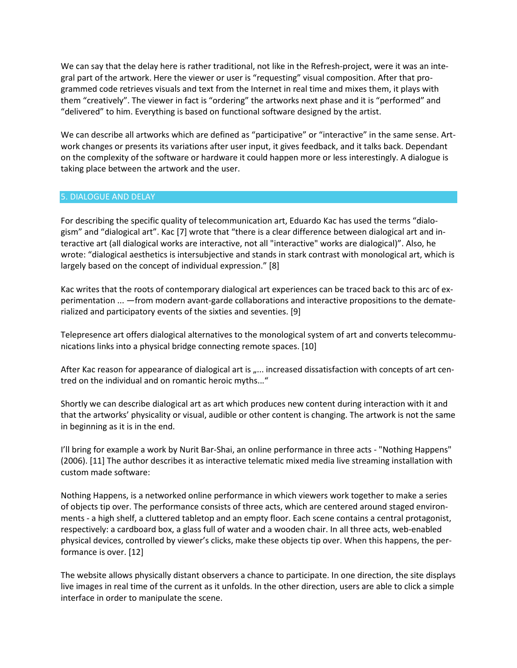We can say that the delay here is rather traditional, not like in the Refresh-project, were it was an integral part of the artwork. Here the viewer or user is "requesting" visual composition. After that programmed code retrieves visuals and text from the Internet in real time and mixes them, it plays with them "creatively". The viewer in fact is "ordering" the artworks next phase and it is "performed" and "delivered" to him. Everything is based on functional software designed by the artist.

We can describe all artworks which are defined as "participative" or "interactive" in the same sense. Artwork changes or presents its variations after user input, it gives feedback, and it talks back. Dependant on the complexity of the software or hardware it could happen more or less interestingly. A dialogue is taking place between the artwork and the user.

### 5. DIALOGUE AND DELAY

For describing the specific quality of telecommunication art, Eduardo Kac has used the terms "dialogism" and "dialogical art". Kac [7] wrote that "there is a clear difference between dialogical art and interactive art (all dialogical works are interactive, not all "interactive" works are dialogical)". Also, he wrote: "dialogical aesthetics is intersubjective and stands in stark contrast with monological art, which is largely based on the concept of individual expression." [8]

Kac writes that the roots of contemporary dialogical art experiences can be traced back to this arc of experimentation ... —from modern avant-garde collaborations and interactive propositions to the dematerialized and participatory events of the sixties and seventies. [9]

Telepresence art offers dialogical alternatives to the monological system of art and converts telecommunications links into a physical bridge connecting remote spaces. [10]

After Kac reason for appearance of dialogical art is "... increased dissatisfaction with concepts of art centred on the individual and on romantic heroic myths..."

Shortly we can describe dialogical art as art which produces new content during interaction with it and that the artworks' physicality or visual, audible or other content is changing. The artwork is not the same in beginning as it is in the end.

I'll bring for example a work by Nurit Bar-Shai, an online performance in three acts - "Nothing Happens" (2006). [11] The author describes it as interactive telematic mixed media live streaming installation with custom made software:

Nothing Happens, is a networked online performance in which viewers work together to make a series of objects tip over. The performance consists of three acts, which are centered around staged environments - a high shelf, a cluttered tabletop and an empty floor. Each scene contains a central protagonist, respectively: a cardboard box, a glass full of water and a wooden chair. In all three acts, web-enabled physical devices, controlled by viewer's clicks, make these objects tip over. When this happens, the performance is over. [12]

The website allows physically distant observers a chance to participate. In one direction, the site displays live images in real time of the current as it unfolds. In the other direction, users are able to click a simple interface in order to manipulate the scene.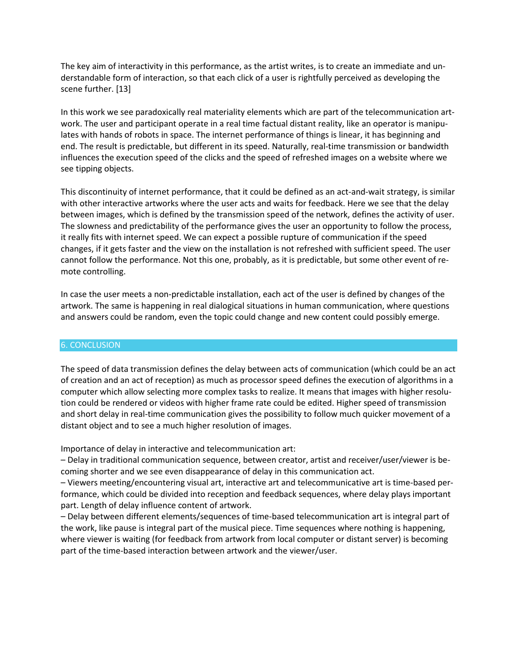The key aim of interactivity in this performance, as the artist writes, is to create an immediate and understandable form of interaction, so that each click of a user is rightfully perceived as developing the scene further. [13]

In this work we see paradoxically real materiality elements which are part of the telecommunication artwork. The user and participant operate in a real time factual distant reality, like an operator is manipulates with hands of robots in space. The internet performance of things is linear, it has beginning and end. The result is predictable, but different in its speed. Naturally, real-time transmission or bandwidth influences the execution speed of the clicks and the speed of refreshed images on a website where we see tipping objects.

This discontinuity of internet performance, that it could be defined as an act-and-wait strategy, is similar with other interactive artworks where the user acts and waits for feedback. Here we see that the delay between images, which is defined by the transmission speed of the network, defines the activity of user. The slowness and predictability of the performance gives the user an opportunity to follow the process, it really fits with internet speed. We can expect a possible rupture of communication if the speed changes, if it gets faster and the view on the installation is not refreshed with sufficient speed. The user cannot follow the performance. Not this one, probably, as it is predictable, but some other event of remote controlling.

In case the user meets a non-predictable installation, each act of the user is defined by changes of the artwork. The same is happening in real dialogical situations in human communication, where questions and answers could be random, even the topic could change and new content could possibly emerge.

## 6. CONCLUSION

The speed of data transmission defines the delay between acts of communication (which could be an act of creation and an act of reception) as much as processor speed defines the execution of algorithms in a computer which allow selecting more complex tasks to realize. It means that images with higher resolution could be rendered or videos with higher frame rate could be edited. Higher speed of transmission and short delay in real-time communication gives the possibility to follow much quicker movement of a distant object and to see a much higher resolution of images.

Importance of delay in interactive and telecommunication art:

– Delay in traditional communication sequence, between creator, artist and receiver/user/viewer is becoming shorter and we see even disappearance of delay in this communication act.

– Viewers meeting/encountering visual art, interactive art and telecommunicative art is time-based performance, which could be divided into reception and feedback sequences, where delay plays important part. Length of delay influence content of artwork.

– Delay between different elements/sequences of time-based telecommunication art is integral part of the work, like pause is integral part of the musical piece. Time sequences where nothing is happening, where viewer is waiting (for feedback from artwork from local computer or distant server) is becoming part of the time-based interaction between artwork and the viewer/user.